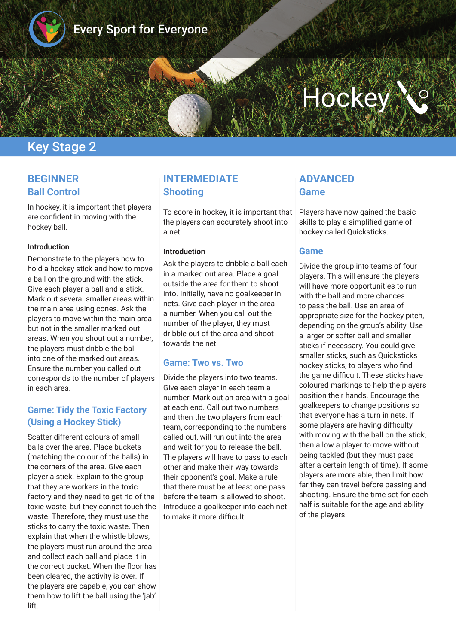

# **Hockey**

# Key Stage 2

## **BEGINNER Ball Control**

In hockey, it is important that players are confdent in moving with the hockey ball.

#### **Introduction**

Demonstrate to the players how to hold a hockey stick and how to move a ball on the ground with the stick. Give each player a ball and a stick. Mark out several smaller areas within the main area using cones. Ask the players to move within the main area but not in the smaller marked out areas. When you shout out a number, the players must dribble the ball into one of the marked out areas. Ensure the number you called out corresponds to the number of players in each area.

#### **Game: Tidy the Toxic Factory (Using a Hockey Stick)**

Scatter different colours of small balls over the area. Place buckets (matching the colour of the balls) in the corners of the area. Give each player a stick. Explain to the group that they are workers in the toxic factory and they need to get rid of the toxic waste, but they cannot touch the waste. Therefore, they must use the sticks to carry the toxic waste. Then explain that when the whistle blows, the players must run around the area and collect each ball and place it in the correct bucket. When the floor has been cleared, the activity is over. If the players are capable, you can show them how to lift the ball using the 'jab' lift.

## **INTERMEDIATE Shooting**

To score in hockey, it is important that the players can accurately shoot into a net.

#### **Introduction**

Ask the players to dribble a ball each in a marked out area. Place a goal outside the area for them to shoot into. Initially, have no goalkeeper in nets. Give each player in the area a number. When you call out the number of the player, they must dribble out of the area and shoot towards the net.

#### **Game: Two vs. Two**

Divide the players into two teams. Give each player in each team a number. Mark out an area with a goal at each end. Call out two numbers and then the two players from each team, corresponding to the numbers called out, will run out into the area and wait for you to release the ball. The players will have to pass to each other and make their way towards their opponent's goal. Make a rule that there must be at least one pass before the team is allowed to shoot. Introduce a goalkeeper into each net to make it more difficult.

## **ADVANCED Game**

Players have now gained the basic skills to play a simplifed game of hockey called Quicksticks.

#### **Game**

Divide the group into teams of four players. This will ensure the players will have more opportunities to run with the ball and more chances to pass the ball. Use an area of appropriate size for the hockey pitch, depending on the group's ability. Use a larger or softer ball and smaller sticks if necessary. You could give smaller sticks, such as Quicksticks hockey sticks, to players who fnd the game difficult. These sticks have coloured markings to help the players position their hands. Encourage the goalkeepers to change positions so that everyone has a turn in nets. If some players are having difficulty with moving with the ball on the stick, then allow a player to move without being tackled (but they must pass after a certain length of time). If some players are more able, then limit how far they can travel before passing and shooting. Ensure the time set for each half is suitable for the age and ability of the players.